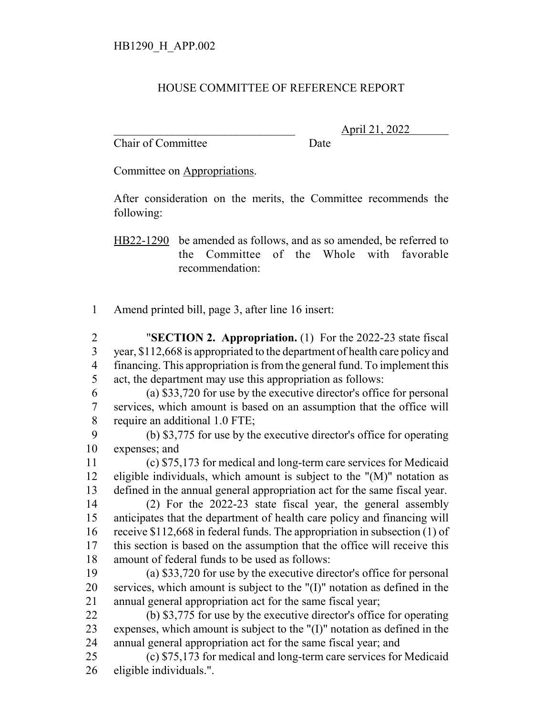## HOUSE COMMITTEE OF REFERENCE REPORT

Chair of Committee Date

\_\_\_\_\_\_\_\_\_\_\_\_\_\_\_\_\_\_\_\_\_\_\_\_\_\_\_\_\_\_\_ April 21, 2022

Committee on Appropriations.

After consideration on the merits, the Committee recommends the following:

HB22-1290 be amended as follows, and as so amended, be referred to the Committee of the Whole with favorable recommendation:

Amend printed bill, page 3, after line 16 insert:

 "**SECTION 2. Appropriation.** (1) For the 2022-23 state fiscal year, \$112,668 is appropriated to the department of health care policy and financing. This appropriation is from the general fund. To implement this act, the department may use this appropriation as follows:

 (a) \$33,720 for use by the executive director's office for personal services, which amount is based on an assumption that the office will require an additional 1.0 FTE;

 (b) \$3,775 for use by the executive director's office for operating expenses; and

 (c) \$75,173 for medical and long-term care services for Medicaid eligible individuals, which amount is subject to the "(M)" notation as defined in the annual general appropriation act for the same fiscal year.

 (2) For the 2022-23 state fiscal year, the general assembly anticipates that the department of health care policy and financing will receive \$112,668 in federal funds. The appropriation in subsection (1) of this section is based on the assumption that the office will receive this amount of federal funds to be used as follows:

 (a) \$33,720 for use by the executive director's office for personal services, which amount is subject to the "(I)" notation as defined in the annual general appropriation act for the same fiscal year;

 (b) \$3,775 for use by the executive director's office for operating expenses, which amount is subject to the "(I)" notation as defined in the annual general appropriation act for the same fiscal year; and

 (c) \$75,173 for medical and long-term care services for Medicaid eligible individuals.".